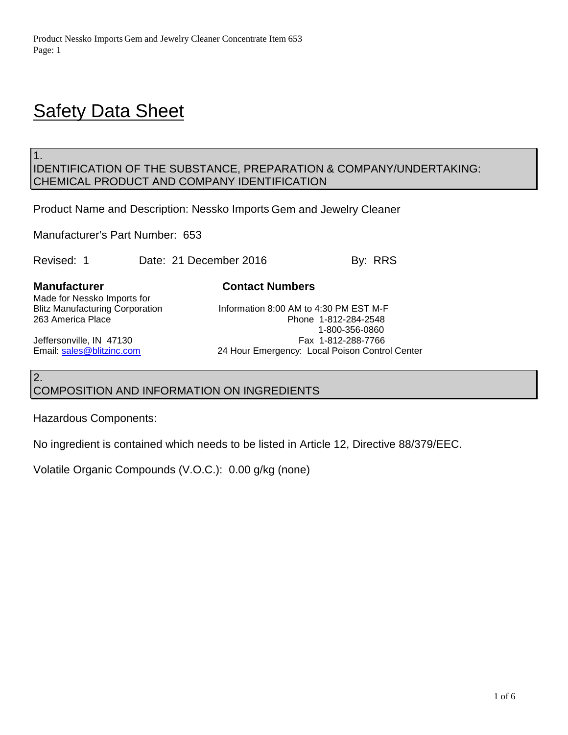# **Safety Data Sheet**

# IDENTIFICATION OF THE SUBSTANCE, PREPARATION & COMPANY/UNDERTAKING: CHEMICAL PRODUCT AND COMPANY IDENTIFICATION

Product Name and Description: Nessko Imports Gem and Jewelry Cleaner

Manufacturer's Part Number: 653

Revised: 1 Date: 21 December 2016 By: RRS

1.

**Manufacturer Contact Numbers**

Made for Nessko Imports for<br>Blitz Manufacturing Corporation

Blitz Manufacturing Corporation **Information 8:00 AM to 4:30 PM EST M-F**<br>263 America Place **Information 8:00 Phone 1-812-284-2548** Phone 1-812-284-2548 1-800-356-0860 Jeffersonville, IN 47130 **Fax 1-812-288-7766** Email: [sales@blitzinc.com](mailto:sales@blitzinc.com) 24 Hour Emergency: Local Poison Control Center

# 2. COMPOSITION AND INFORMATION ON INGREDIENTS

Hazardous Components:

No ingredient is contained which needs to be listed in Article 12, Directive 88/379/EEC.

Volatile Organic Compounds (V.O.C.): 0.00 g/kg (none)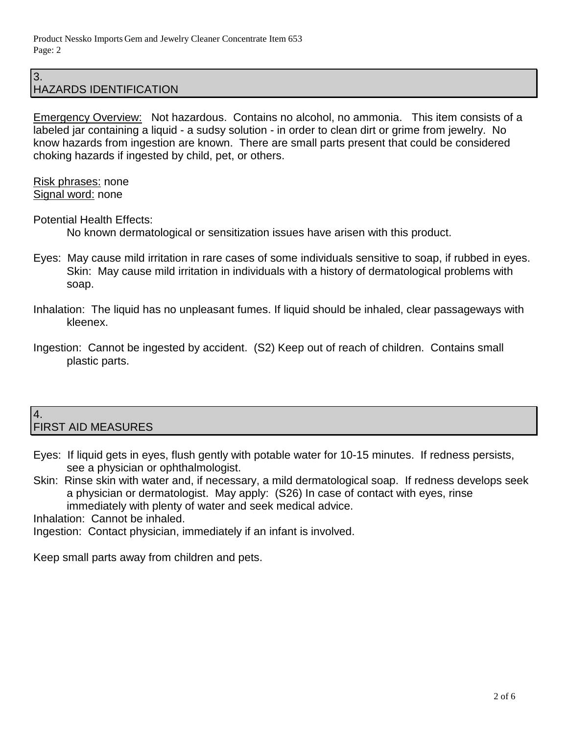#### 3. HAZARDS IDENTIFICATION

Emergency Overview: Not hazardous. Contains no alcohol, no ammonia. This item consists of a labeled jar containing a liquid - a sudsy solution - in order to clean dirt or grime from jewelry. No know hazards from ingestion are known. There are small parts present that could be considered choking hazards if ingested by child, pet, or others.

Risk phrases: none Signal word: none

Potential Health Effects:

No known dermatological or sensitization issues have arisen with this product.

- Eyes: May cause mild irritation in rare cases of some individuals sensitive to soap, if rubbed in eyes. Skin: May cause mild irritation in individuals with a history of dermatological problems with soap.
- Inhalation: The liquid has no unpleasant fumes. If liquid should be inhaled, clear passageways with kleenex.
- Ingestion: Cannot be ingested by accident. (S2) Keep out of reach of children. Contains small plastic parts.

#### 4. FIRST AID MEASURES

- Eyes: If liquid gets in eyes, flush gently with potable water for 10-15 minutes. If redness persists, see a physician or ophthalmologist.
- Skin: Rinse skin with water and, if necessary, a mild dermatological soap. If redness develops seek a physician or dermatologist. May apply: (S26) In case of contact with eyes, rinse immediately with plenty of water and seek medical advice.

Inhalation: Cannot be inhaled.

Ingestion: Contact physician, immediately if an infant is involved.

Keep small parts away from children and pets.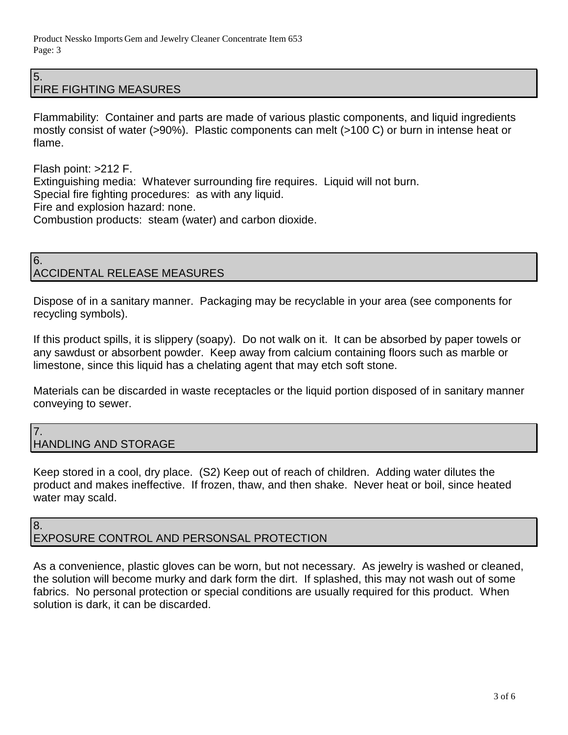#### 5. FIRE FIGHTING MEASURES

Flammability: Container and parts are made of various plastic components, and liquid ingredients mostly consist of water (>90%). Plastic components can melt (>100 C) or burn in intense heat or flame.

Flash point: >212 F. Extinguishing media: Whatever surrounding fire requires. Liquid will not burn. Special fire fighting procedures: as with any liquid. Fire and explosion hazard: none. Combustion products: steam (water) and carbon dioxide.

### 6. ACCIDENTAL RELEASE MEASURES

Dispose of in a sanitary manner. Packaging may be recyclable in your area (see components for recycling symbols).

If this product spills, it is slippery (soapy). Do not walk on it. It can be absorbed by paper towels or any sawdust or absorbent powder. Keep away from calcium containing floors such as marble or limestone, since this liquid has a chelating agent that may etch soft stone.

Materials can be discarded in waste receptacles or the liquid portion disposed of in sanitary manner conveying to sewer.

### 7. HANDLING AND STORAGE

Keep stored in a cool, dry place. (S2) Keep out of reach of children. Adding water dilutes the product and makes ineffective. If frozen, thaw, and then shake. Never heat or boil, since heated water may scald.

### 8. EXPOSURE CONTROL AND PERSONSAL PROTECTION

As a convenience, plastic gloves can be worn, but not necessary. As jewelry is washed or cleaned, the solution will become murky and dark form the dirt. If splashed, this may not wash out of some fabrics. No personal protection or special conditions are usually required for this product. When solution is dark, it can be discarded.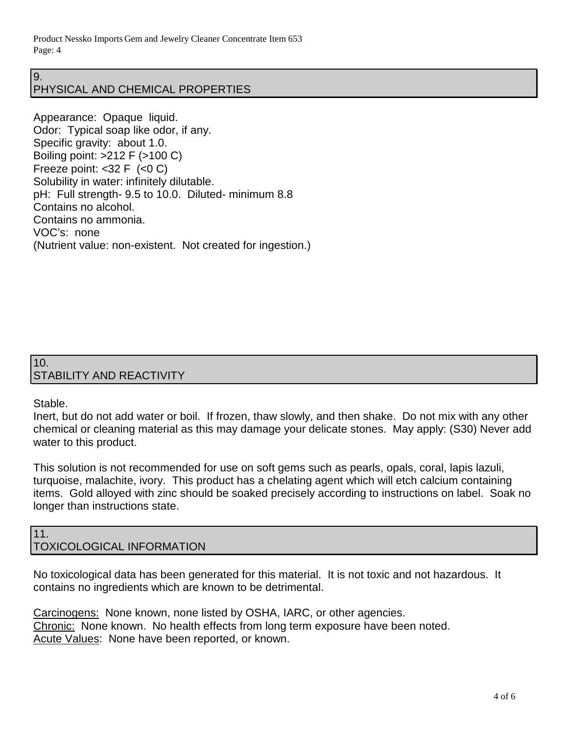Product Nessko Imports Gem and Jewelry Cleaner Concentrate Item 653 Page: 4

#### 9. PHYSICAL AND CHEMICAL PROPERTIES

Appearance: Opaque liquid. Odor: Typical soap like odor, if any. Specific gravity: about 1.0. Boiling point: >212 F (>100 C) Freeze point:  $<$ 32 F  $(<$ 0 C) Solubility in water: infinitely dilutable. pH: Full strength- 9.5 to 10.0. Diluted- minimum 8.8 Contains no alcohol. Contains no ammonia. VOC's: none (Nutrient value: non-existent. Not created for ingestion.)

# 10. STABILITY AND REACTIVITY

## Stable.

Inert, but do not add water or boil. If frozen, thaw slowly, and then shake. Do not mix with any other chemical or cleaning material as this may damage your delicate stones. May apply: (S30) Never add water to this product.

This solution is not recommended for use on soft gems such as pearls, opals, coral, lapis lazuli, turquoise, malachite, ivory. This product has a chelating agent which will etch calcium containing items. Gold alloyed with zinc should be soaked precisely according to instructions on label. Soak no longer than instructions state.

#### 11. TOXICOLOGICAL INFORMATION

No toxicological data has been generated for this material. It is not toxic and not hazardous. It contains no ingredients which are known to be detrimental.

Carcinogens: None known, none listed by OSHA, IARC, or other agencies. Chronic: None known. No health effects from long term exposure have been noted. Acute Values: None have been reported, or known.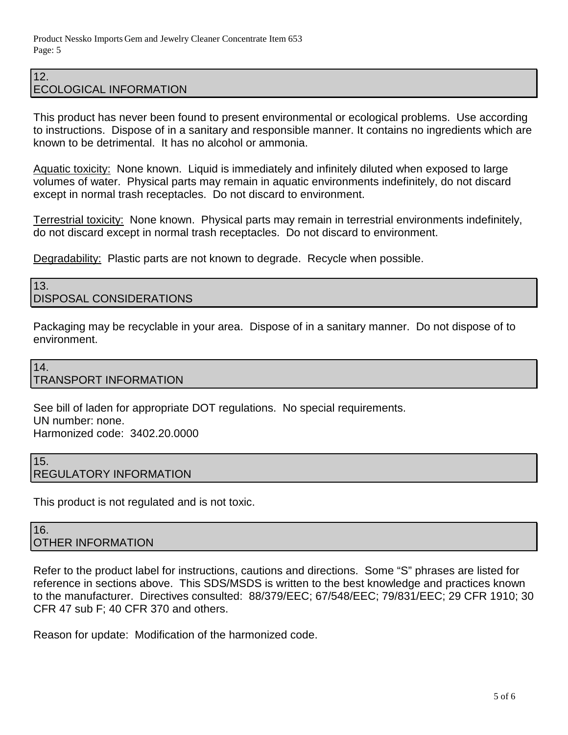#### 12. ECOLOGICAL INFORMATION

This product has never been found to present environmental or ecological problems. Use according to instructions. Dispose of in a sanitary and responsible manner. It contains no ingredients which are known to be detrimental. It has no alcohol or ammonia.

Aquatic toxicity: None known. Liquid is immediately and infinitely diluted when exposed to large volumes of water. Physical parts may remain in aquatic environments indefinitely, do not discard except in normal trash receptacles. Do not discard to environment.

Terrestrial toxicity: None known. Physical parts may remain in terrestrial environments indefinitely, do not discard except in normal trash receptacles. Do not discard to environment.

Degradability: Plastic parts are not known to degrade. Recycle when possible.

#### 13. DISPOSAL CONSIDERATIONS

Packaging may be recyclable in your area. Dispose of in a sanitary manner. Do not dispose of to environment.

# 14.

# TRANSPORT INFORMATION

See bill of laden for appropriate DOT regulations. No special requirements. UN number: none. Harmonized code: 3402.20.0000

#### 15. REGULATORY INFORMATION

This product is not regulated and is not toxic.

#### 16. OTHER INFORMATION

Refer to the product label for instructions, cautions and directions. Some "S" phrases are listed for reference in sections above. This SDS/MSDS is written to the best knowledge and practices known to the manufacturer. Directives consulted: 88/379/EEC; 67/548/EEC; 79/831/EEC; 29 CFR 1910; 30 CFR 47 sub F; 40 CFR 370 and others.

Reason for update: Modification of the harmonized code.